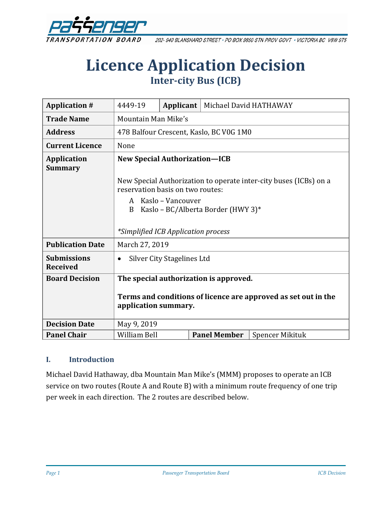

202-940 BLANSHARD STREET . PO BOX 9850 STN PROV GOVT . VICTORIA BC V8W 9T5

# **Licence Application Decision Inter-city Bus (ICB)**

| <b>Application #</b>                  | 4449-19                                                                                               |  | <b>Applicant</b>   Michael David HATHAWAY |                 |
|---------------------------------------|-------------------------------------------------------------------------------------------------------|--|-------------------------------------------|-----------------|
| <b>Trade Name</b>                     | Mountain Man Mike's                                                                                   |  |                                           |                 |
| <b>Address</b>                        | 478 Balfour Crescent, Kaslo, BC V0G 1M0                                                               |  |                                           |                 |
| <b>Current Licence</b>                | None                                                                                                  |  |                                           |                 |
| <b>Application</b><br><b>Summary</b>  | <b>New Special Authorization-ICB</b>                                                                  |  |                                           |                 |
|                                       | New Special Authorization to operate inter-city buses (ICBs) on a<br>reservation basis on two routes: |  |                                           |                 |
|                                       | A Kaslo - Vancouver<br>Kaslo - BC/Alberta Border (HWY 3)*<br>B                                        |  |                                           |                 |
|                                       | *Simplified ICB Application process                                                                   |  |                                           |                 |
| <b>Publication Date</b>               | March 27, 2019                                                                                        |  |                                           |                 |
| <b>Submissions</b><br><b>Received</b> | Silver City Stagelines Ltd<br>$\bullet$                                                               |  |                                           |                 |
| <b>Board Decision</b>                 | The special authorization is approved.                                                                |  |                                           |                 |
|                                       | Terms and conditions of licence are approved as set out in the<br>application summary.                |  |                                           |                 |
| <b>Decision Date</b>                  | May 9, 2019                                                                                           |  |                                           |                 |
| <b>Panel Chair</b>                    | <b>William Bell</b>                                                                                   |  | <b>Panel Member</b>                       | Spencer Mikituk |

#### **I. Introduction**

Michael David Hathaway, dba Mountain Man Mike's (MMM) proposes to operate an ICB service on two routes (Route A and Route B) with a minimum route frequency of one trip per week in each direction. The 2 routes are described below.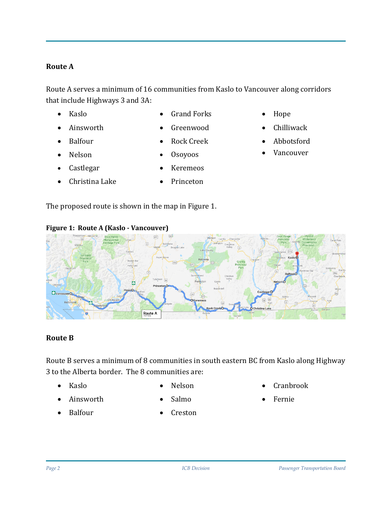#### **Route A**

Route A serves a minimum of 16 communities from Kaslo to Vancouver along corridors that include Highways 3 and 3A:

• Kaslo

• Grand Forks

- Ainsworth
- Balfour

• Nelson

• Castlegar

- Greenwood
- Rock Creek
- Osoyoos
- **Keremeos**
- Christina Lake **Princeton**

The proposed route is shown in the map in Figure 1.

Route A





#### **Route B**

Route B serves a minimum of 8 communities in south eastern BC from Kaslo along Highway 3 to the Alberta border. The 8 communities are:

• Kaslo

• Nelson

- Ainsworth
- Balfour

ö

- Salmo
- **Creston**
- Cranbrook
- Fernie
- Hope • Chilliwack
- Abbotsford
- **Vancouver**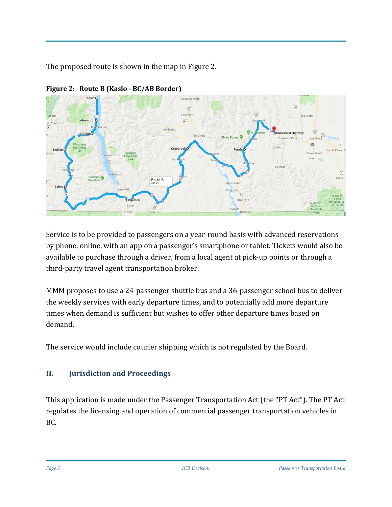The proposed route is shown in the map in Figure 2.



**Figure 2: Route B (Kaslo - BC/AB Border)**

Service is to be provided to passengers on a year-round basis with advanced reservations by phone, online, with an app on a passenger's smartphone or tablet. Tickets would also be available to purchase through a driver, from a local agent at pick-up points or through a third-party travel agent transportation broker.

MMM proposes to use a 24-passenger shuttle bus and a 36-passenger school bus to deliver the weekly services with early departure times, and to potentially add more departure times when demand is sufficient but wishes to offer other departure times based on demand.

The service would include courier shipping which is not regulated by the Board.

## **II. Jurisdiction and Proceedings**

This application is made under the Passenger Transportation Act (the "PT Act"). The PT Act regulates the licensing and operation of commercial passenger transportation vehicles in BC.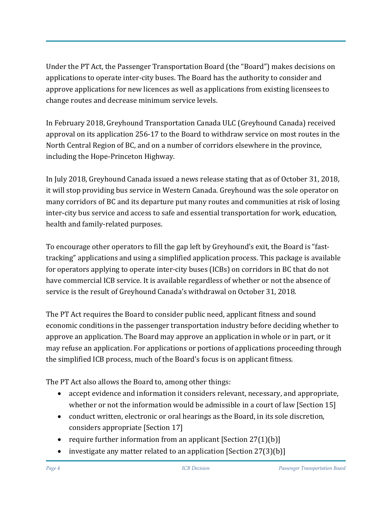Under the PT Act, the Passenger Transportation Board (the "Board") makes decisions on applications to operate inter-city buses. The Board has the authority to consider and approve applications for new licences as well as applications from existing licensees to change routes and decrease minimum service levels.

In February 2018, Greyhound Transportation Canada ULC (Greyhound Canada) received approval on its application 256-17 to the Board to withdraw service on most routes in the North Central Region of BC, and on a number of corridors elsewhere in the province, including the Hope-Princeton Highway.

In July 2018, Greyhound Canada issued a news release stating that as of October 31, 2018, it will stop providing bus service in Western Canada. Greyhound was the sole operator on many corridors of BC and its departure put many routes and communities at risk of losing inter-city bus service and access to safe and essential transportation for work, education, health and family-related purposes.

To encourage other operators to fill the gap left by Greyhound's exit, the Board is "fasttracking" applications and using a simplified application process. This package is available for operators applying to operate inter-city buses (ICBs) on corridors in BC that do not have commercial ICB service. It is available regardless of whether or not the absence of service is the result of Greyhound Canada's withdrawal on October 31, 2018.

The PT Act requires the Board to consider public need, applicant fitness and sound economic conditions in the passenger transportation industry before deciding whether to approve an application. The Board may approve an application in whole or in part, or it may refuse an application. For applications or portions of applications proceeding through the simplified ICB process, much of the Board's focus is on applicant fitness.

The PT Act also allows the Board to, among other things:

- accept evidence and information it considers relevant, necessary, and appropriate, whether or not the information would be admissible in a court of law [Section 15]
- conduct written, electronic or oral hearings as the Board, in its sole discretion, considers appropriate [Section 17]
- require further information from an applicant  $[Section 27(1)(b)]$
- investigate any matter related to an application [Section 27(3)(b)]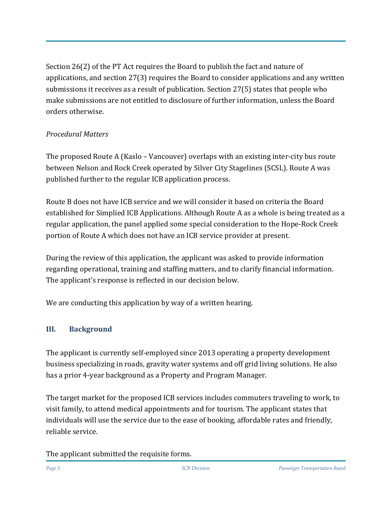Section 26(2) of the PT Act requires the Board to publish the fact and nature of applications, and section 27(3) requires the Board to consider applications and any written submissions it receives as a result of publication. Section 27(5) states that people who make submissions are not entitled to disclosure of further information, unless the Board orders otherwise.

#### *Procedural Matters*

The proposed Route A (Kaslo – Vancouver) overlaps with an existing inter-city bus route between Nelson and Rock Creek operated by Silver City Stagelines (SCSL). Route A was published further to the regular ICB application process.

Route B does not have ICB service and we will consider it based on criteria the Board established for Simplied ICB Applications. Although Route A as a whole is being treated as a regular application, the panel applied some special consideration to the Hope-Rock Creek portion of Route A which does not have an ICB service provider at present.

During the review of this application, the applicant was asked to provide information regarding operational, training and staffing matters, and to clarify financial information. The applicant's response is reflected in our decision below.

We are conducting this application by way of a written hearing.

## **III. Background**

The applicant is currently self-employed since 2013 operating a property development business specializing in roads, gravity water systems and off grid living solutions. He also has a prior 4-year background as a Property and Program Manager.

The target market for the proposed ICB services includes commuters traveling to work, to visit family, to attend medical appointments and for tourism. The applicant states that individuals will use the service due to the ease of booking, affordable rates and friendly, reliable service.

The applicant submitted the requisite forms.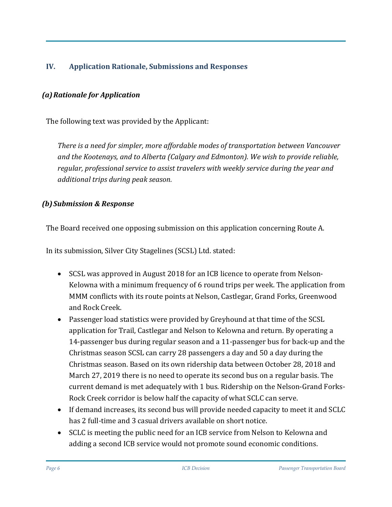#### **IV. Application Rationale, Submissions and Responses**

#### *(a)Rationale for Application*

The following text was provided by the Applicant:

*There is a need for simpler, more affordable modes of transportation between Vancouver and the Kootenays, and to Alberta (Calgary and Edmonton). We wish to provide reliable, regular, professional service to assist travelers with weekly service during the year and additional trips during peak season.*

#### *(b)Submission & Response*

The Board received one opposing submission on this application concerning Route A.

In its submission, Silver City Stagelines (SCSL) Ltd. stated:

- SCSL was approved in August 2018 for an ICB licence to operate from Nelson-Kelowna with a minimum frequency of 6 round trips per week. The application from MMM conflicts with its route points at Nelson, Castlegar, Grand Forks, Greenwood and Rock Creek.
- Passenger load statistics were provided by Greyhound at that time of the SCSL application for Trail, Castlegar and Nelson to Kelowna and return. By operating a 14-passenger bus during regular season and a 11-passenger bus for back-up and the Christmas season SCSL can carry 28 passengers a day and 50 a day during the Christmas season. Based on its own ridership data between October 28, 2018 and March 27, 2019 there is no need to operate its second bus on a regular basis. The current demand is met adequately with 1 bus. Ridership on the Nelson-Grand Forks-Rock Creek corridor is below half the capacity of what SCLC can serve.
- If demand increases, its second bus will provide needed capacity to meet it and SCLC has 2 full-time and 3 casual drivers available on short notice.
- SCLC is meeting the public need for an ICB service from Nelson to Kelowna and adding a second ICB service would not promote sound economic conditions.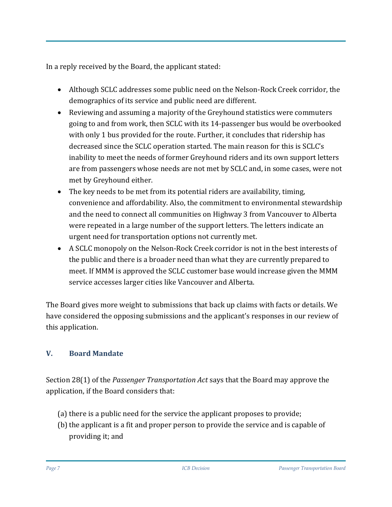In a reply received by the Board, the applicant stated:

- Although SCLC addresses some public need on the Nelson-Rock Creek corridor, the demographics of its service and public need are different.
- Reviewing and assuming a majority of the Greyhound statistics were commuters going to and from work, then SCLC with its 14-passenger bus would be overbooked with only 1 bus provided for the route. Further, it concludes that ridership has decreased since the SCLC operation started. The main reason for this is SCLC's inability to meet the needs of former Greyhound riders and its own support letters are from passengers whose needs are not met by SCLC and, in some cases, were not met by Greyhound either.
- The key needs to be met from its potential riders are availability, timing, convenience and affordability. Also, the commitment to environmental stewardship and the need to connect all communities on Highway 3 from Vancouver to Alberta were repeated in a large number of the support letters. The letters indicate an urgent need for transportation options not currently met.
- A SCLC monopoly on the Nelson-Rock Creek corridor is not in the best interests of the public and there is a broader need than what they are currently prepared to meet. If MMM is approved the SCLC customer base would increase given the MMM service accesses larger cities like Vancouver and Alberta.

The Board gives more weight to submissions that back up claims with facts or details. We have considered the opposing submissions and the applicant's responses in our review of this application.

## **V. Board Mandate**

Section 28(1) of the *Passenger Transportation Act* says that the Board may approve the application, if the Board considers that:

- (a) there is a public need for the service the applicant proposes to provide;
- (b) the applicant is a fit and proper person to provide the service and is capable of providing it; and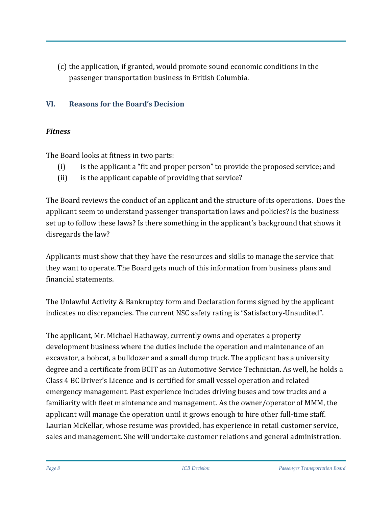(c) the application, if granted, would promote sound economic conditions in the passenger transportation business in British Columbia.

#### **VI. Reasons for the Board's Decision**

#### *Fitness*

The Board looks at fitness in two parts:

- (i) is the applicant a "fit and proper person" to provide the proposed service; and
- (ii) is the applicant capable of providing that service?

The Board reviews the conduct of an applicant and the structure of its operations. Does the applicant seem to understand passenger transportation laws and policies? Is the business set up to follow these laws? Is there something in the applicant's background that shows it disregards the law?

Applicants must show that they have the resources and skills to manage the service that they want to operate. The Board gets much of this information from business plans and financial statements.

The Unlawful Activity & Bankruptcy form and Declaration forms signed by the applicant indicates no discrepancies. The current NSC safety rating is "Satisfactory-Unaudited".

The applicant, Mr. Michael Hathaway, currently owns and operates a property development business where the duties include the operation and maintenance of an excavator, a bobcat, a bulldozer and a small dump truck. The applicant has a university degree and a certificate from BCIT as an Automotive Service Technician. As well, he holds a Class 4 BC Driver's Licence and is certified for small vessel operation and related emergency management. Past experience includes driving buses and tow trucks and a familiarity with fleet maintenance and management. As the owner/operator of MMM, the applicant will manage the operation until it grows enough to hire other full-time staff. Laurian McKellar, whose resume was provided, has experience in retail customer service, sales and management. She will undertake customer relations and general administration.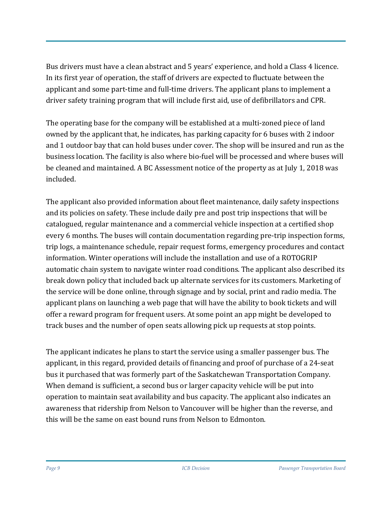Bus drivers must have a clean abstract and 5 years' experience, and hold a Class 4 licence. In its first year of operation, the staff of drivers are expected to fluctuate between the applicant and some part-time and full-time drivers. The applicant plans to implement a driver safety training program that will include first aid, use of defibrillators and CPR.

The operating base for the company will be established at a multi-zoned piece of land owned by the applicant that, he indicates, has parking capacity for 6 buses with 2 indoor and 1 outdoor bay that can hold buses under cover. The shop will be insured and run as the business location. The facility is also where bio-fuel will be processed and where buses will be cleaned and maintained. A BC Assessment notice of the property as at July 1, 2018 was included.

The applicant also provided information about fleet maintenance, daily safety inspections and its policies on safety. These include daily pre and post trip inspections that will be catalogued, regular maintenance and a commercial vehicle inspection at a certified shop every 6 months. The buses will contain documentation regarding pre-trip inspection forms, trip logs, a maintenance schedule, repair request forms, emergency procedures and contact information. Winter operations will include the installation and use of a ROTOGRIP automatic chain system to navigate winter road conditions. The applicant also described its break down policy that included back up alternate services for its customers. Marketing of the service will be done online, through signage and by social, print and radio media. The applicant plans on launching a web page that will have the ability to book tickets and will offer a reward program for frequent users. At some point an app might be developed to track buses and the number of open seats allowing pick up requests at stop points.

The applicant indicates he plans to start the service using a smaller passenger bus. The applicant, in this regard, provided details of financing and proof of purchase of a 24-seat bus it purchased that was formerly part of the Saskatchewan Transportation Company. When demand is sufficient, a second bus or larger capacity vehicle will be put into operation to maintain seat availability and bus capacity. The applicant also indicates an awareness that ridership from Nelson to Vancouver will be higher than the reverse, and this will be the same on east bound runs from Nelson to Edmonton.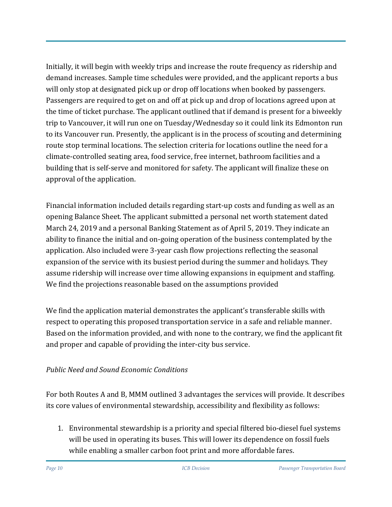Initially, it will begin with weekly trips and increase the route frequency as ridership and demand increases. Sample time schedules were provided, and the applicant reports a bus will only stop at designated pick up or drop off locations when booked by passengers. Passengers are required to get on and off at pick up and drop of locations agreed upon at the time of ticket purchase. The applicant outlined that if demand is present for a biweekly trip to Vancouver, it will run one on Tuesday/Wednesday so it could link its Edmonton run to its Vancouver run. Presently, the applicant is in the process of scouting and determining route stop terminal locations. The selection criteria for locations outline the need for a climate-controlled seating area, food service, free internet, bathroom facilities and a building that is self-serve and monitored for safety. The applicant will finalize these on approval of the application.

Financial information included details regarding start-up costs and funding as well as an opening Balance Sheet. The applicant submitted a personal net worth statement dated March 24, 2019 and a personal Banking Statement as of April 5, 2019. They indicate an ability to finance the initial and on-going operation of the business contemplated by the application. Also included were 3-year cash flow projections reflecting the seasonal expansion of the service with its busiest period during the summer and holidays. They assume ridership will increase over time allowing expansions in equipment and staffing. We find the projections reasonable based on the assumptions provided

We find the application material demonstrates the applicant's transferable skills with respect to operating this proposed transportation service in a safe and reliable manner. Based on the information provided, and with none to the contrary, we find the applicant fit and proper and capable of providing the inter-city bus service.

## *Public Need and Sound Economic Conditions*

For both Routes A and B, MMM outlined 3 advantages the services will provide. It describes its core values of environmental stewardship, accessibility and flexibility as follows:

1. Environmental stewardship is a priority and special filtered bio-diesel fuel systems will be used in operating its buses. This will lower its dependence on fossil fuels while enabling a smaller carbon foot print and more affordable fares.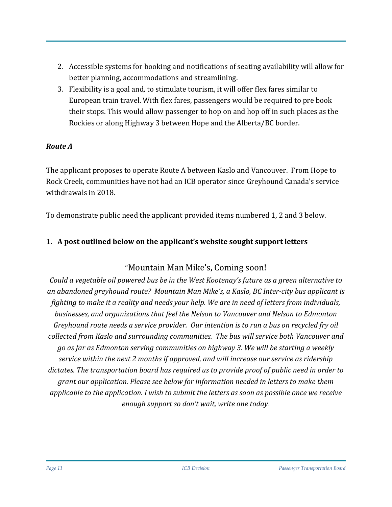- 2. Accessible systems for booking and notifications of seating availability will allow for better planning, accommodations and streamlining.
- 3. Flexibility is a goal and, to stimulate tourism, it will offer flex fares similar to European train travel. With flex fares, passengers would be required to pre book their stops. This would allow passenger to hop on and hop off in such places as the Rockies or along Highway 3 between Hope and the Alberta/BC border.

#### *Route A*

The applicant proposes to operate Route A between Kaslo and Vancouver. From Hope to Rock Creek, communities have not had an ICB operator since Greyhound Canada's service withdrawals in 2018.

To demonstrate public need the applicant provided items numbered 1, 2 and 3 below.

#### **1. A post outlined below on the applicant's website sought support letters**

## "Mountain Man Mike's, Coming soon!

*Could a vegetable oil powered bus be in the West Kootenay's future as a green alternative to an abandoned greyhound route? Mountain Man Mike's, a Kaslo, BC Inter-city bus applicant is fighting to make it a reality and needs your help. We are in need of letters from individuals, businesses, and organizations that feel the Nelson to Vancouver and Nelson to Edmonton Greyhound route needs a service provider. Our intention is to run a bus on recycled fry oil collected from Kaslo and surrounding communities. The bus will service both Vancouver and go as far as Edmonton serving communities on highway 3. We will be starting a weekly service within the next 2 months if approved, and will increase our service as ridership dictates. The transportation board has required us to provide proof of public need in order to grant our application. Please see below for information needed in letters to make them applicable to the application. I wish to submit the letters as soon as possible once we receive enough support so don't wait, write one today*.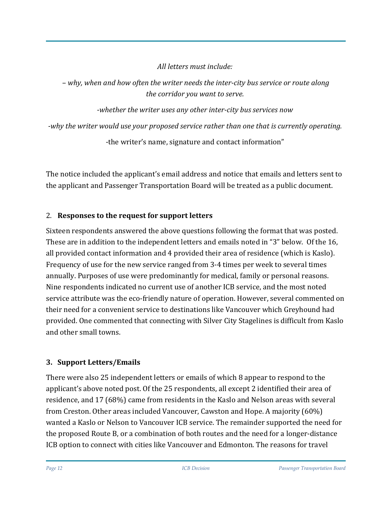*All letters must include:*

– *why, when and how often the writer needs the inter-city bus service or route along the corridor you want to serve.*

*-whether the writer uses any other inter-city bus services now*

*-why the writer would use your proposed service rather than one that is currently operating.*

-the writer's name, signature and contact information"

The notice included the applicant's email address and notice that emails and letters sent to the applicant and Passenger Transportation Board will be treated as a public document.

## 2. **Responses to the request for support letters**

Sixteen respondents answered the above questions following the format that was posted. These are in addition to the independent letters and emails noted in "3" below. Of the 16, all provided contact information and 4 provided their area of residence (which is Kaslo). Frequency of use for the new service ranged from 3-4 times per week to several times annually. Purposes of use were predominantly for medical, family or personal reasons. Nine respondents indicated no current use of another ICB service, and the most noted service attribute was the eco-friendly nature of operation. However, several commented on their need for a convenient service to destinations like Vancouver which Greyhound had provided. One commented that connecting with Silver City Stagelines is difficult from Kaslo and other small towns.

# **3. Support Letters/Emails**

There were also 25 independent letters or emails of which 8 appear to respond to the applicant's above noted post. Of the 25 respondents, all except 2 identified their area of residence, and 17 (68%) came from residents in the Kaslo and Nelson areas with several from Creston. Other areas included Vancouver, Cawston and Hope. A majority (60%) wanted a Kaslo or Nelson to Vancouver ICB service. The remainder supported the need for the proposed Route B, or a combination of both routes and the need for a longer-distance ICB option to connect with cities like Vancouver and Edmonton. The reasons for travel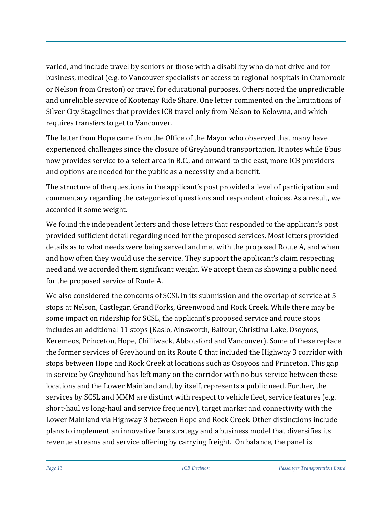varied, and include travel by seniors or those with a disability who do not drive and for business, medical (e.g. to Vancouver specialists or access to regional hospitals in Cranbrook or Nelson from Creston) or travel for educational purposes. Others noted the unpredictable and unreliable service of Kootenay Ride Share. One letter commented on the limitations of Silver City Stagelines that provides ICB travel only from Nelson to Kelowna, and which requires transfers to get to Vancouver.

The letter from Hope came from the Office of the Mayor who observed that many have experienced challenges since the closure of Greyhound transportation. It notes while Ebus now provides service to a select area in B.C., and onward to the east, more ICB providers and options are needed for the public as a necessity and a benefit.

The structure of the questions in the applicant's post provided a level of participation and commentary regarding the categories of questions and respondent choices. As a result, we accorded it some weight.

We found the independent letters and those letters that responded to the applicant's post provided sufficient detail regarding need for the proposed services. Most letters provided details as to what needs were being served and met with the proposed Route A, and when and how often they would use the service. They support the applicant's claim respecting need and we accorded them significant weight. We accept them as showing a public need for the proposed service of Route A.

We also considered the concerns of SCSL in its submission and the overlap of service at 5 stops at Nelson, Castlegar, Grand Forks, Greenwood and Rock Creek. While there may be some impact on ridership for SCSL, the applicant's proposed service and route stops includes an additional 11 stops (Kaslo, Ainsworth, Balfour, Christina Lake, Osoyoos, Keremeos, Princeton, Hope, Chilliwack, Abbotsford and Vancouver). Some of these replace the former services of Greyhound on its Route C that included the Highway 3 corridor with stops between Hope and Rock Creek at locations such as Osoyoos and Princeton. This gap in service by Greyhound has left many on the corridor with no bus service between these locations and the Lower Mainland and, by itself, represents a public need. Further, the services by SCSL and MMM are distinct with respect to vehicle fleet, service features (e.g. short-haul vs long-haul and service frequency), target market and connectivity with the Lower Mainland via Highway 3 between Hope and Rock Creek. Other distinctions include plans to implement an innovative fare strategy and a business model that diversifies its revenue streams and service offering by carrying freight. On balance, the panel is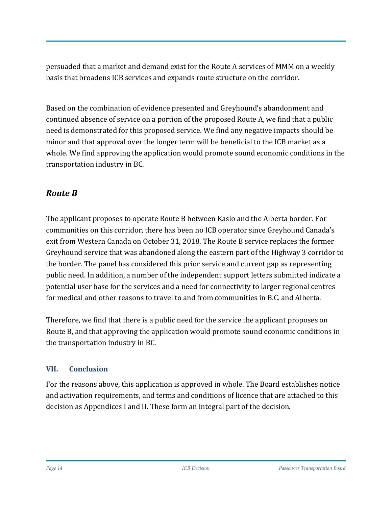persuaded that a market and demand exist for the Route A services of MMM on a weekly basis that broadens ICB services and expands route structure on the corridor.

Based on the combination of evidence presented and Greyhound's abandonment and continued absence of service on a portion of the proposed Route A, we find that a public need is demonstrated for this proposed service. We find any negative impacts should be minor and that approval over the longer term will be beneficial to the ICB market as a whole. We find approving the application would promote sound economic conditions in the transportation industry in BC.

# *Route B*

The applicant proposes to operate Route B between Kaslo and the Alberta border. For communities on this corridor, there has been no ICB operator since Greyhound Canada's exit from Western Canada on October 31, 2018. The Route B service replaces the former Greyhound service that was abandoned along the eastern part of the Highway 3 corridor to the border. The panel has considered this prior service and current gap as representing public need. In addition, a number of the independent support letters submitted indicate a potential user base for the services and a need for connectivity to larger regional centres for medical and other reasons to travel to and from communities in B.C. and Alberta.

Therefore, we find that there is a public need for the service the applicant proposes on Route B, and that approving the application would promote sound economic conditions in the transportation industry in BC.

#### **VII. Conclusion**

For the reasons above, this application is approved in whole. The Board establishes notice and activation requirements, and terms and conditions of licence that are attached to this decision as Appendices I and II. These form an integral part of the decision.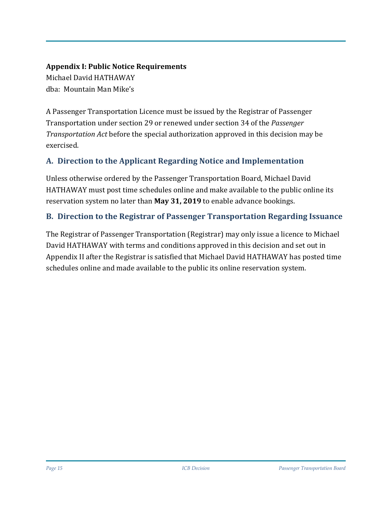# **Appendix I: Public Notice Requirements**

Michael David HATHAWAY dba: Mountain Man Mike's

A Passenger Transportation Licence must be issued by the Registrar of Passenger Transportation under section 29 or renewed under section 34 of the *Passenger Transportation Act* before the special authorization approved in this decision may be exercised.

## **A. Direction to the Applicant Regarding Notice and Implementation**

Unless otherwise ordered by the Passenger Transportation Board, Michael David HATHAWAY must post time schedules online and make available to the public online its reservation system no later than **May 31, 2019** to enable advance bookings.

#### **B. Direction to the Registrar of Passenger Transportation Regarding Issuance**

The Registrar of Passenger Transportation (Registrar) may only issue a licence to Michael David HATHAWAY with terms and conditions approved in this decision and set out in Appendix II after the Registrar is satisfied that Michael David HATHAWAY has posted time schedules online and made available to the public its online reservation system.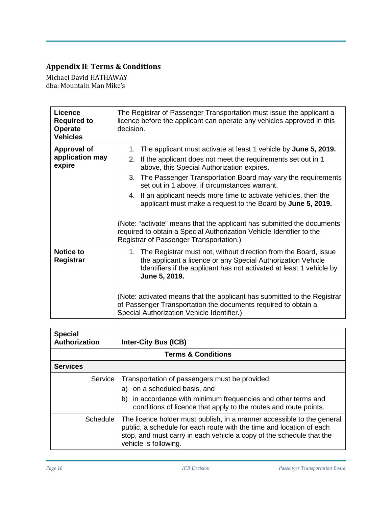# **Appendix II**: **Terms & Conditions**

Michael David HATHAWAY dba: Mountain Man Mike's

| Licence<br><b>Required to</b><br>Operate<br><b>Vehicles</b> | The Registrar of Passenger Transportation must issue the applicant a<br>licence before the applicant can operate any vehicles approved in this<br>decision.                                                                                                                                                                                                                                                                                       |  |  |  |
|-------------------------------------------------------------|---------------------------------------------------------------------------------------------------------------------------------------------------------------------------------------------------------------------------------------------------------------------------------------------------------------------------------------------------------------------------------------------------------------------------------------------------|--|--|--|
| <b>Approval of</b><br>application may<br>expire             | 1.<br>The applicant must activate at least 1 vehicle by June 5, 2019.<br>If the applicant does not meet the requirements set out in 1<br>2.<br>above, this Special Authorization expires.<br>3. The Passenger Transportation Board may vary the requirements<br>set out in 1 above, if circumstances warrant.<br>4. If an applicant needs more time to activate vehicles, then the<br>applicant must make a request to the Board by June 5, 2019. |  |  |  |
|                                                             | (Note: "activate" means that the applicant has submitted the documents<br>required to obtain a Special Authorization Vehicle Identifier to the<br>Registrar of Passenger Transportation.)                                                                                                                                                                                                                                                         |  |  |  |
| <b>Notice to</b><br>Registrar                               | 1. The Registrar must not, without direction from the Board, issue<br>the applicant a licence or any Special Authorization Vehicle<br>Identifiers if the applicant has not activated at least 1 vehicle by<br>June 5, 2019.                                                                                                                                                                                                                       |  |  |  |
|                                                             | (Note: activated means that the applicant has submitted to the Registrar<br>of Passenger Transportation the documents required to obtain a<br>Special Authorization Vehicle Identifier.)                                                                                                                                                                                                                                                          |  |  |  |

| <b>Special</b><br>Authorization | <b>Inter-City Bus (ICB)</b>                                                                                                                                                                                                                     |  |  |  |
|---------------------------------|-------------------------------------------------------------------------------------------------------------------------------------------------------------------------------------------------------------------------------------------------|--|--|--|
| <b>Terms &amp; Conditions</b>   |                                                                                                                                                                                                                                                 |  |  |  |
| <b>Services</b>                 |                                                                                                                                                                                                                                                 |  |  |  |
| Service                         | Transportation of passengers must be provided:<br>a) on a scheduled basis, and<br>in accordance with minimum frequencies and other terms and<br>b)<br>conditions of licence that apply to the routes and route points.                          |  |  |  |
| Schedule                        | The licence holder must publish, in a manner accessible to the general<br>public, a schedule for each route with the time and location of each<br>stop, and must carry in each vehicle a copy of the schedule that the<br>vehicle is following. |  |  |  |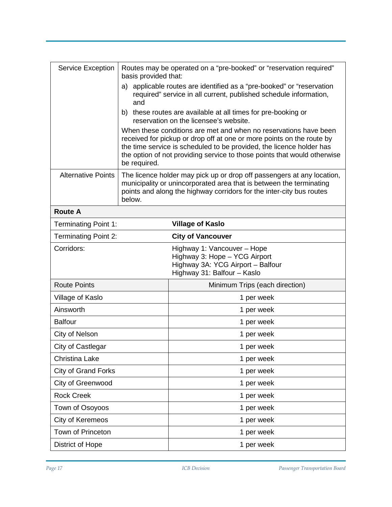| Service Exception           | basis provided that:                                                                                                                                                                                                                                                                                          | Routes may be operated on a "pre-booked" or "reservation required"                                                               |  |
|-----------------------------|---------------------------------------------------------------------------------------------------------------------------------------------------------------------------------------------------------------------------------------------------------------------------------------------------------------|----------------------------------------------------------------------------------------------------------------------------------|--|
|                             | applicable routes are identified as a "pre-booked" or "reservation<br>a)<br>required" service in all current, published schedule information,<br>and                                                                                                                                                          |                                                                                                                                  |  |
|                             | b) these routes are available at all times for pre-booking or<br>reservation on the licensee's website.                                                                                                                                                                                                       |                                                                                                                                  |  |
|                             | When these conditions are met and when no reservations have been<br>received for pickup or drop off at one or more points on the route by<br>the time service is scheduled to be provided, the licence holder has<br>the option of not providing service to those points that would otherwise<br>be required. |                                                                                                                                  |  |
| <b>Alternative Points</b>   | The licence holder may pick up or drop off passengers at any location,<br>municipality or unincorporated area that is between the terminating<br>points and along the highway corridors for the inter-city bus routes<br>below.                                                                               |                                                                                                                                  |  |
| <b>Route A</b>              |                                                                                                                                                                                                                                                                                                               |                                                                                                                                  |  |
| <b>Terminating Point 1:</b> |                                                                                                                                                                                                                                                                                                               | <b>Village of Kaslo</b>                                                                                                          |  |
| <b>Terminating Point 2:</b> |                                                                                                                                                                                                                                                                                                               | <b>City of Vancouver</b>                                                                                                         |  |
| Corridors:                  |                                                                                                                                                                                                                                                                                                               | Highway 1: Vancouver - Hope<br>Highway 3: Hope - YCG Airport<br>Highway 3A: YCG Airport - Balfour<br>Highway 31: Balfour - Kaslo |  |
| <b>Route Points</b>         |                                                                                                                                                                                                                                                                                                               | Minimum Trips (each direction)                                                                                                   |  |
| Village of Kaslo            |                                                                                                                                                                                                                                                                                                               | 1 per week                                                                                                                       |  |
| Ainsworth                   |                                                                                                                                                                                                                                                                                                               | 1 per week                                                                                                                       |  |
| <b>Balfour</b>              |                                                                                                                                                                                                                                                                                                               | 1 per week                                                                                                                       |  |
| City of Nelson              |                                                                                                                                                                                                                                                                                                               | 1 per week                                                                                                                       |  |
| City of Castlegar           |                                                                                                                                                                                                                                                                                                               | 1 per week                                                                                                                       |  |
| Christina Lake              |                                                                                                                                                                                                                                                                                                               | 1 per week                                                                                                                       |  |
| <b>City of Grand Forks</b>  |                                                                                                                                                                                                                                                                                                               | 1 per week                                                                                                                       |  |
| City of Greenwood           |                                                                                                                                                                                                                                                                                                               | 1 per week                                                                                                                       |  |
| <b>Rock Creek</b>           |                                                                                                                                                                                                                                                                                                               | 1 per week                                                                                                                       |  |
| Town of Osoyoos             |                                                                                                                                                                                                                                                                                                               | 1 per week                                                                                                                       |  |
| City of Keremeos            |                                                                                                                                                                                                                                                                                                               | 1 per week                                                                                                                       |  |
| Town of Princeton           |                                                                                                                                                                                                                                                                                                               | 1 per week                                                                                                                       |  |
| <b>District of Hope</b>     |                                                                                                                                                                                                                                                                                                               | 1 per week                                                                                                                       |  |